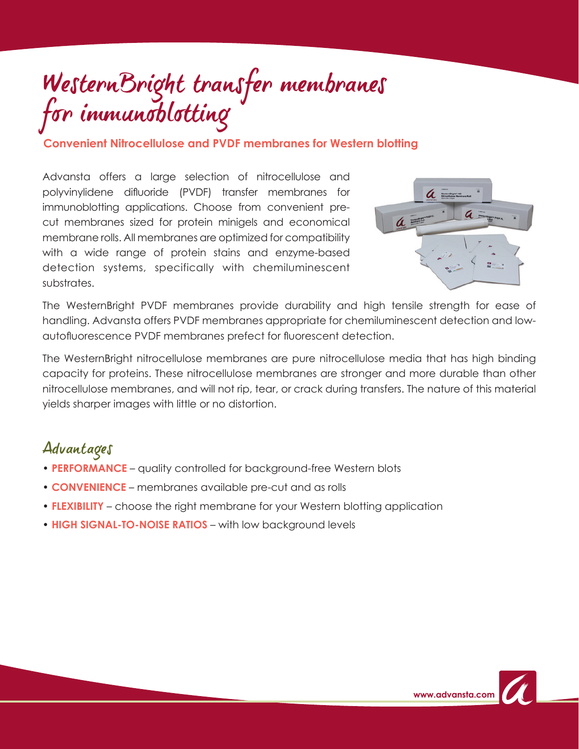# WesternBright transfer membranes for immunoblotting

**Convenient Nitrocellulose and PVDF membranes for Western blotting**

Advansta offers a large selection of nitrocellulose and polyvinylidene difluoride (PVDF) transfer membranes for immunoblotting applications. Choose from convenient precut membranes sized for protein minigels and economical membrane rolls. All membranes are optimized for compatibility with a wide range of protein stains and enzyme-based detection systems, specifically with chemiluminescent substrates.



The WesternBright PVDF membranes provide durability and high tensile strength for ease of handling. Advansta offers PVDF membranes appropriate for chemiluminescent detection and lowautofluorescence PVDF membranes prefect for fluorescent detection.

The WesternBright nitrocellulose membranes are pure nitrocellulose media that has high binding capacity for proteins. These nitrocellulose membranes are stronger and more durable than other nitrocellulose membranes, and will not rip, tear, or crack during transfers. The nature of this material yields sharper images with little or no distortion.

#### Advantages

- **PERFORMANCE** quality controlled for background-free Western blots
- **CONVENIENCE** membranes available pre-cut and as rolls
- **FLEXIBILITY** choose the right membrane for your Western blotting application
- **HIGH SIGNAL-TO-NOISE RATIOS** with low background levels